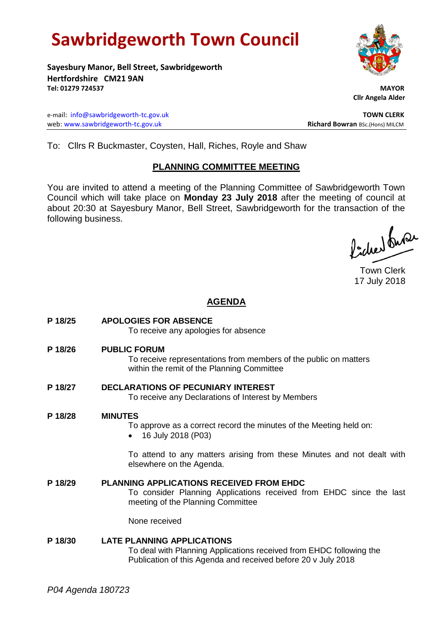# **Sawbridgeworth Town Council**

**Sayesbury Manor, Bell Street, Sawbridgeworth Hertfordshire CM21 9AN Tel: 01279 724537 MAYOR**

e-mail: [info@sawbridgeworth-tc.gov.uk](mailto:info@sawbridgeworth-tc.gov.uk) **TOWN CLERK** web: www.sawbridgeworth-tc.gov.uk **Richard Bowran** BSc.(Hons) MILCM

 **Cllr Angela Alder**

To: Cllrs R Buckmaster, Coysten, Hall, Riches, Royle and Shaw

### **PLANNING COMMITTEE MEETING**

You are invited to attend a meeting of the Planning Committee of Sawbridgeworth Town Council which will take place on **Monday 23 July 2018** after the meeting of council at about 20:30 at Sayesbury Manor, Bell Street, Sawbridgeworth for the transaction of the following business.

Picked Suran

Town Clerk 17 July 2018

## **AGENDA**

**P 18/25 APOLOGIES FOR ABSENCE** To receive any apologies for absence **P 18/26 PUBLIC FORUM** To receive representations from members of the public on matters within the remit of the Planning Committee **P 18/27 DECLARATIONS OF PECUNIARY INTEREST** To receive any Declarations of Interest by Members **P 18/28 MINUTES** To approve as a correct record the minutes of the Meeting held on: • 16 July 2018 (P03) To attend to any matters arising from these Minutes and not dealt with elsewhere on the Agenda. **P 18/29 PLANNING APPLICATIONS RECEIVED FROM EHDC** To consider Planning Applications received from EHDC since the last meeting of the Planning Committee None received **P 18/30 LATE PLANNING APPLICATIONS** To deal with Planning Applications received from EHDC following the Publication of this Agenda and received before 20 v July 2018